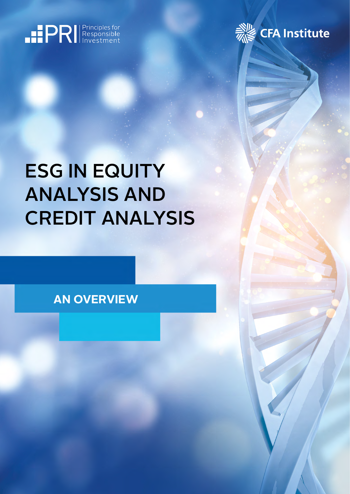



# ESG IN EQUITY ANALYSIS AND CREDIT ANALYSIS

# **AN OVERVIEW**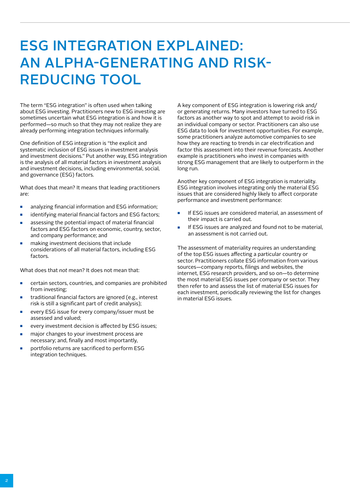# ESG INTEGRATION EXPLAINED: AN ALPHA-GENERATING AND RISK-REDUCING TOOL

The term "ESG integration" is often used when talking about ESG investing. Practitioners new to ESG investing are sometimes uncertain what ESG integration is and how it is performed—so much so that they may not realize they are already performing integration techniques informally.

One definition of ESG integration is "the explicit and systematic inclusion of ESG issues in investment analysis and investment decisions." Put another way, ESG integration is the analysis of all material factors in investment analysis and investment decisions, including environmental, social, and governance (ESG) factors.

What does that mean? It means that leading practitioners are:

- analyzing financial information and ESG information;
- identifying material financial factors and ESG factors;
- assessing the potential impact of material financial factors and ESG factors on economic, country, sector, and company performance; and
- making investment decisions that include considerations of all material factors, including ESG factors

What does that *not* mean? It does not mean that:

- certain sectors, countries, and companies are prohibited from investing;
- traditional financial factors are ignored (e.g., interest risk is still a significant part of credit analysis);
- every ESG issue for every company/issuer must be assessed and valued;
- every investment decision is affected by ESG issues:
- major changes to your investment process are necessary; and, finally and most importantly,
- portfolio returns are sacrificed to perform ESG integration techniques.

A key component of ESG integration is lowering risk and/ or generating returns. Many investors have turned to ESG factors as another way to spot and attempt to avoid risk in an individual company or sector. Practitioners can also use ESG data to look for investment opportunities. For example, some practitioners analyze automotive companies to see how they are reacting to trends in car electrification and factor this assessment into their revenue forecasts. Another example is practitioners who invest in companies with strong ESG management that are likely to outperform in the long run.

Another key component of ESG integration is materiality. ESG integration involves integrating only the material ESG issues that are considered highly likely to affect corporate performance and investment performance:

- If ESG issues are considered material, an assessment of their impact is carried out.
- If ESG issues are analyzed and found not to be material, an assessment is not carried out.

The assessment of materiality requires an understanding of the top ESG issues affecting a particular country or sector. Practitioners collate ESG information from various sources—company reports, filings and websites, the internet, ESG research providers, and so on—to determine the most material ESG issues per company or sector. They then refer to and assess the list of material ESG issues for each investment, periodically reviewing the list for changes in material ESG issues.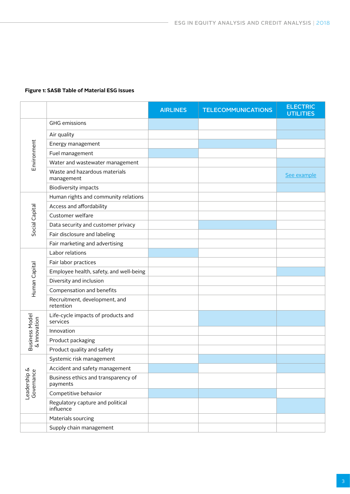### **Figure 1: SASB Table of Material ESG Issues**

|                                       |                                                 | <b>AIRLINES</b> | <b>TELECOMMUNICATIONS</b> | <b>ELECTRIC</b><br><b>UTILITIES</b> |
|---------------------------------------|-------------------------------------------------|-----------------|---------------------------|-------------------------------------|
| Environment                           | <b>GHG</b> emissions                            |                 |                           |                                     |
|                                       | Air quality                                     |                 |                           |                                     |
|                                       | Energy management                               |                 |                           |                                     |
|                                       | Fuel management                                 |                 |                           |                                     |
|                                       | Water and wastewater management                 |                 |                           |                                     |
|                                       | Waste and hazardous materials<br>management     |                 |                           | See example                         |
|                                       | <b>Biodiversity impacts</b>                     |                 |                           |                                     |
|                                       | Human rights and community relations            |                 |                           |                                     |
|                                       | Access and affordability                        |                 |                           |                                     |
| Social Capital                        | Customer welfare                                |                 |                           |                                     |
|                                       | Data security and customer privacy              |                 |                           |                                     |
|                                       | Fair disclosure and labeling                    |                 |                           |                                     |
|                                       | Fair marketing and advertising                  |                 |                           |                                     |
|                                       | Labor relations                                 |                 |                           |                                     |
|                                       | Fair labor practices                            |                 |                           |                                     |
| Human Capital                         | Employee health, safety, and well-being         |                 |                           |                                     |
|                                       | Diversity and inclusion                         |                 |                           |                                     |
|                                       | Compensation and benefits                       |                 |                           |                                     |
|                                       | Recruitment, development, and<br>retention      |                 |                           |                                     |
|                                       | Life-cycle impacts of products and<br>services  |                 |                           |                                     |
|                                       | Innovation                                      |                 |                           |                                     |
| <b>Business Model</b><br>& Innovation | Product packaging                               |                 |                           |                                     |
|                                       | Product quality and safety                      |                 |                           |                                     |
|                                       | Systemic risk management                        |                 |                           |                                     |
|                                       | Accident and safety management                  |                 |                           |                                     |
| Leadership &<br>Governance            | Business ethics and transparency of<br>payments |                 |                           |                                     |
|                                       | Competitive behavior                            |                 |                           |                                     |
|                                       | Regulatory capture and political<br>influence   |                 |                           |                                     |
|                                       | Materials sourcing                              |                 |                           |                                     |
|                                       | Supply chain management                         |                 |                           |                                     |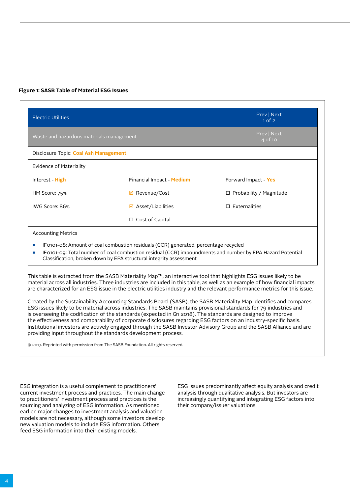#### <span id="page-3-0"></span>**Figure 1: SASB Table of Material ESG Issues**

| <b>Electric Utilities</b>                | Prev   Next<br>$1$ of $2$     |                           |  |  |  |
|------------------------------------------|-------------------------------|---------------------------|--|--|--|
| Waste and hazardous materials management | Prev   Next<br>$4$ of 10      |                           |  |  |  |
| Disclosure Topic: Coal Ash Management    |                               |                           |  |  |  |
| Evidence of Materiality                  |                               |                           |  |  |  |
| Interest - High                          | Financial Impact - Medium     | Forward Impact - Yes      |  |  |  |
| HM Score: 75%                            | ☑ Revenue/Cost                | □ Probability / Magnitude |  |  |  |
| IWG Score: 86%                           | $\boxtimes$ Asset/Liabilities | $\square$ Externalities   |  |  |  |
|                                          | $\Box$ Cost of Capital        |                           |  |  |  |

- IF0101-08: Amount of coal combustion residuals (CCR) generated, percentage recycled
- IF0101-09: Total number of coal combustion residual (CCR) impoundments and number by EPA Hazard Potential Classification, broken down by EPA structural integrity assessment

This table is extracted from the SASB Materiality Map™, an interactive tool that highlights ESG issues likely to be material across all industries. Three industries are included in this table, as well as an example of how financial impacts are characterized for an ESG issue in the electric utilities industry and the relevant performance metrics for this issue.

Created by the Sustainability Accounting Standards Board (SASB), the SASB Materiality Map identifies and compares ESG issues likely to be material across industries. The SASB maintains provisional standards for 79 industries and is overseeing the codification of the standards (expected in Q1 2018). The standards are designed to improve the effectiveness and comparability of corporate disclosures regarding ESG factors on an industry-specific basis. Institutional investors are actively engaged through the SASB Investor Advisory Group and the SASB Alliance and are providing input throughout the standards development process.

© 2017. Reprinted with permission from The SASB Foundation. All rights reserved.

ESG integration is a useful complement to practitioners' current investment process and practices. The main change to practitioners' investment process and practices is the sourcing and analyzing of ESG information. As mentioned earlier, major changes to investment analysis and valuation models are not necessary, although some investors develop new valuation models to include ESG information. Others feed ESG information into their existing models.

ESG issues predominantly affect equity analysis and credit analysis through qualitative analysis. But investors are increasingly quantifying and integrating ESG factors into their company/issuer valuations.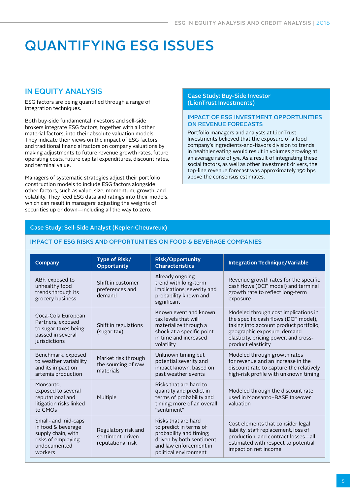# QUANTIFYING ESG ISSUES

# IN EQUITY ANALYSIS

ESG factors are being quantified through a range of integration techniques.

Both buy-side fundamental investors and sell-side brokers integrate ESG factors, together with all other material factors, into their absolute valuation models. They indicate their views on the impact of ESG factors and traditional financial factors on company valuations by making adjustments to future revenue growth rates, future operating costs, future capital expenditures, discount rates, and terminal value.

Managers of systematic strategies adjust their portfolio construction models to include ESG factors alongside other factors, such as value, size, momentum, growth, and volatility. They feed ESG data and ratings into their models, which can result in managers' adjusting the weights of securities up or down—including all the way to zero.

#### Case Study: Buy-Side Investor (LionTrust Investments)

#### IMPACT OF ESG INVESTMENT OPPORTUNITIES ON REVENUE FORECASTS

Portfolio managers and analysts at LionTrust Investments believed that the exposure of a food company's ingredients-and-flavors division to trends in healthier eating would result in volumes growing at an average rate of 5%. As a result of integrating these social factors, as well as other investment drivers, the top-line revenue forecast was approximately 150 bps above the consensus estimates.

### Case Study: Sell-Side Analyst (Kepler-Cheuvreux)

### IMPACT OF ESG RISKS AND OPPORTUNITIES ON FOOD & BEVERAGE COMPANIES

| <b>Company</b>                                                                                                   | Type of Risk/<br><b>Opportunity</b>                          | <b>Risk/Opportunity</b><br><b>Characteristics</b>                                                                                                       | <b>Integration Technique/Variable</b>                                                                                                                                                                                |
|------------------------------------------------------------------------------------------------------------------|--------------------------------------------------------------|---------------------------------------------------------------------------------------------------------------------------------------------------------|----------------------------------------------------------------------------------------------------------------------------------------------------------------------------------------------------------------------|
| ABF, exposed to<br>unhealthy food<br>trends through its<br>grocery business                                      | Shift in customer<br>preferences and<br>demand               | Already ongoing<br>trend with long-term<br>implications; severity and<br>probability known and<br>significant                                           | Revenue growth rates for the specific<br>cash flows (DCF model) and terminal<br>growth rate to reflect long-term<br>exposure                                                                                         |
| Coca-Cola European<br>Partners, exposed<br>to sugar taxes being<br>passed in several<br>jurisdictions            | Shift in regulations<br>(sugar tax)                          | Known event and known<br>tax levels that will<br>materialize through a<br>shock at a specific point<br>in time and increased<br>volatility              | Modeled through cost implications in<br>the specific cash flows (DCF model),<br>taking into account product portfolio,<br>geographic exposure, demand<br>elasticity, pricing power, and cross-<br>product elasticity |
| Benchmark, exposed<br>to weather variability<br>and its impact on<br>artemia production                          | Market risk through<br>the sourcing of raw<br>materials      | Unknown timing but<br>potential severity and<br>impact known, based on<br>past weather events                                                           | Modeled through growth rates<br>for revenue and an increase in the<br>discount rate to capture the relatively<br>high-risk profile with unknown timing                                                               |
| Monsanto,<br>exposed to several<br>reputational and<br>litigation risks linked<br>to GMOs                        | Multiple                                                     | Risks that are hard to<br>quantity and predict in<br>terms of probability and<br>timing; more of an overall<br>"sentiment"                              | Modeled through the discount rate<br>used in Monsanto-BASF takeover<br>valuation                                                                                                                                     |
| Small- and mid-caps<br>in food & beverage<br>supply chain, with<br>risks of employing<br>undocumented<br>workers | Regulatory risk and<br>sentiment-driven<br>reputational risk | Risks that are hard<br>to predict in terms of<br>probability and timing;<br>driven by both sentiment<br>and law enforcement in<br>political environment | Cost elements that consider legal<br>liability, staff replacement, loss of<br>production, and contract losses-all<br>estimated with respect to potential<br>impact on net income                                     |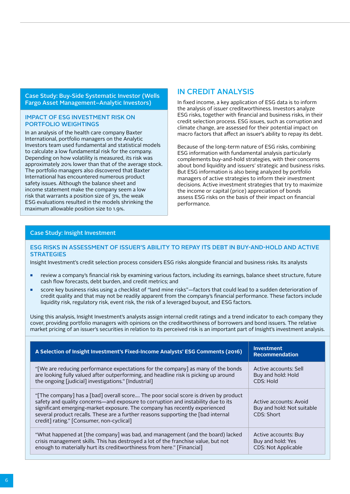Case Study: Buy-Side Systematic Investor (Wells Fargo Asset Management–Analytic Investors)

#### IMPACT OF ESG INVESTMENT RISK ON PORTFOLIO WEIGHTINGS

In an analysis of the health care company Baxter International, portfolio managers on the Analytic Investors team used fundamental and statistical models to calculate a low fundamental risk for the company. Depending on how volatility is measured, its risk was approximately 20% lower than that of the average stock. The portfolio managers also discovered that Baxter International has encountered numerous product safety issues. Although the balance sheet and income statement make the company seem a low risk that warrants a position size of 3%, the weak ESG evaluations resulted in the models shrinking the maximum allowable position size to 1.9%.

## IN CREDIT ANALYSIS

In fixed income, a key application of ESG data is to inform the analysis of issuer creditworthiness. Investors analyze ESG risks, together with financial and business risks, in their credit selection process. ESG issues, such as corruption and climate change, are assessed for their potential impact on macro factors that affect an issuer's ability to repay its debt.

Because of the long-term nature of ESG risks, combining ESG information with fundamental analysis particularly complements buy-and-hold strategies, with their concerns about bond liquidity and issuers' strategic and business risks. But ESG information is also being analyzed by portfolio managers of active strategies to inform their investment decisions. Active investment strategies that try to maximize the income or capital (price) appreciation of bonds assess ESG risks on the basis of their impact on financial performance.

#### Case Study: Insight Investment

#### ESG RISKS IN ASSESSMENT OF ISSUER'S ABILITY TO REPAY ITS DEBT IN BUY-AND-HOLD AND ACTIVE **STRATEGIES**

Insight Investment's credit selection process considers ESG risks alongside financial and business risks. Its analysts

- review a company's financial risk by examining various factors, including its earnings, balance sheet structure, future cash flow forecasts, debt burden, and credit metrics; and
- score key business risks using a checklist of "land mine risks"—factors that could lead to a sudden deterioration of credit quality and that may not be readily apparent from the company's financial performance. These factors include liquidity risk, regulatory risk, event risk, the risk of a leveraged buyout, and ESG factors.

Using this analysis, Insight Investment's analysts assign internal credit ratings and a trend indicator to each company they cover, providing portfolio managers with opinions on the creditworthiness of borrowers and bond issuers. The relative market pricing of an issuer's securities in relation to its perceived risk is an important part of Insight's investment analysis.

| A Selection of Insight Investment's Fixed-Income Analysts' ESG Comments (2016)                                                                                                                                                                                                                                                                                                           | <b>Investment</b><br><b>Recommendation</b>                         |
|------------------------------------------------------------------------------------------------------------------------------------------------------------------------------------------------------------------------------------------------------------------------------------------------------------------------------------------------------------------------------------------|--------------------------------------------------------------------|
| "[We are reducing performance expectations for the company] as many of the bonds                                                                                                                                                                                                                                                                                                         | Active accounts: Sell                                              |
| are looking fully valued after outperforming, and headline risk is picking up around                                                                                                                                                                                                                                                                                                     | Buy and hold: Hold                                                 |
| the ongoing [judicial] investigations." [Industrial]                                                                                                                                                                                                                                                                                                                                     | CDS: Hold                                                          |
| "[The company] has a [bad] overall score The poor social score is driven by product<br>safety and quality concerns—and exposure to corruption and instability due to its<br>significant emerging-market exposure. The company has recently experienced<br>several product recalls. These are a further reasons supporting the [bad internal<br>credit] rating." [Consumer, non-cyclical] | Active accounts: Avoid<br>Buy and hold: Not suitable<br>CDS: Short |
| "What happened at [the company] was bad, and management (and the board) lacked                                                                                                                                                                                                                                                                                                           | Active accounts: Buy                                               |
| crisis management skills. This has destroyed a lot of the franchise value, but not                                                                                                                                                                                                                                                                                                       | Buy and hold: Yes                                                  |
| enough to materially hurt its creditworthiness from here." [Financial]                                                                                                                                                                                                                                                                                                                   | <b>CDS: Not Applicable</b>                                         |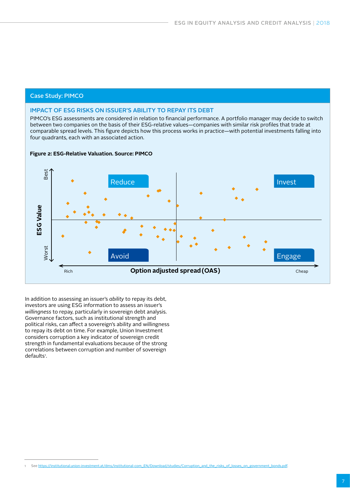#### Case Study: PIMCO

#### IMPACT OF ESG RISKS ON ISSUER'S ABILITY TO REPAY ITS DEBT

PIMCO's ESG assessments are considered in relation to financial performance. A portfolio manager may decide to switch between two companies on the basis of their ESG-relative values—companies with similar risk profiles that trade at comparable spread levels. This figure depicts how this process works in practice—with potential investments falling into four quadrants, each with an associated action.

**Figure 2: ESG-Relative Valuation. Source: PIMCO**



In addition to assessing an issuer's *ability* to repay its debt, investors are using ESG information to assess an issuer's *willingness* to repay, particularly in sovereign debt analysis. Governance factors, such as institutional strength and political risks, can affect a sovereign's ability and willingness to repay its debt on time. For example, Union Investment considers corruption a key indicator of sovereign credit strength in fundamental evaluations because of the strong correlations between corruption and number of sovereign defaults<sup>,</sup>

See https://institutional.union-investment.at/dms/institutional-com\_EN/Download/studies/Corruption\_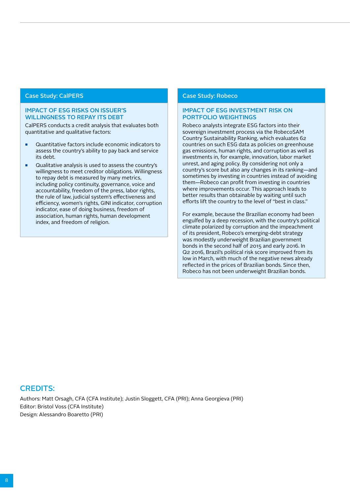#### Case Study: CalPERS

#### IMPACT OF ESG RISKS ON ISSUER'S WILLINGNESS TO REPAY ITS DEBT

CalPERS conducts a credit analysis that evaluates both quantitative and qualitative factors:

- Quantitative factors include economic indicators to assess the country's ability to pay back and service its debt.
- Qualitative analysis is used to assess the country's willingness to meet creditor obligations. Willingness to repay debt is measured by many metrics, including policy continuity, governance, voice and accountability, freedom of the press, labor rights, the rule of law, judicial system's effectiveness and efficiency, women's rights, GINI indicator, corruption indicator, ease of doing business, freedom of association, human rights, human development index, and freedom of religion.

#### Case Study: Robeco

#### IMPACT OF ESG INVESTMENT RISK ON PORTFOLIO WEIGHTINGS

Robeco analysts integrate ESG factors into their sovereign investment process via the RobecoSAM Country Sustainability Ranking, which evaluates 62 countries on such ESG data as policies on greenhouse gas emissions, human rights, and corruption as well as investments in, for example, innovation, labor market unrest, and aging policy. By considering not only a country's score but also any changes in its ranking—and sometimes by investing in countries instead of avoiding them—Robeco can profit from investing in countries where improvements occur. This approach leads to better results than obtainable by waiting until such efforts lift the country to the level of "best in class."

For example, because the Brazilian economy had been engulfed by a deep recession, with the country's political climate polarized by corruption and the impeachment of its president, Robeco's emerging-debt strategy was modestly underweight Brazilian government bonds in the second half of 2015 and early 2016. In Q2 2016, Brazil's political risk score improved from its low in March, with much of the negative news already reflected in the prices of Brazilian bonds. Since then, Robeco has not been underweight Brazilian bonds.

#### CREDITS:

Authors: Matt Orsagh, CFA (CFA Institute); Justin Sloggett, CFA (PRI); Anna Georgieva (PRI) Editor: Bristol Voss (CFA Institute) Design: Alessandro Boaretto (PRI)